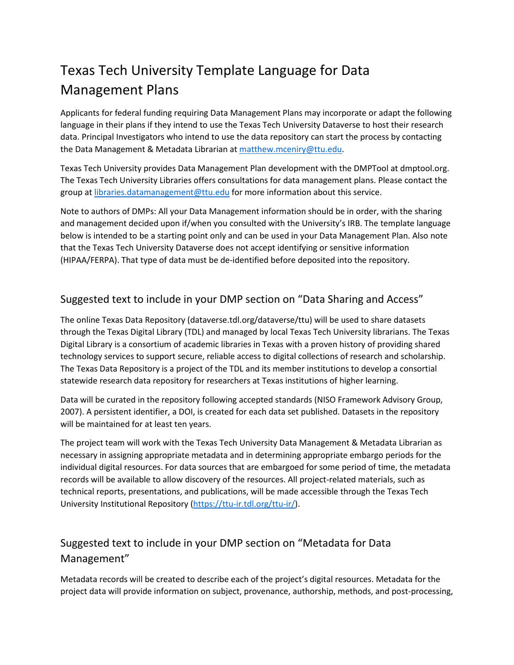## Texas Tech University Template Language for Data Management Plans

Applicants for federal funding requiring Data Management Plans may incorporate or adapt the following language in their plans if they intend to use the Texas Tech University Dataverse to host their research data. Principal Investigators who intend to use the data repository can start the process by contacting the Data Management & Metadata Librarian at [matthew.mceniry@ttu.edu.](mailto:matthew.mceniry@ttu.edu)

Texas Tech University provides Data Management Plan development with the DMPTool at dmptool.org. The Texas Tech University Libraries offers consultations for data management plans. Please contact the group at [libraries.datamanagement@ttu.edu](mailto:libraries.datamanagement@ttu.edu) for more information about this service.

Note to authors of DMPs: All your Data Management information should be in order, with the sharing and management decided upon if/when you consulted with the University's IRB. The template language below is intended to be a starting point only and can be used in your Data Management Plan. Also note that the Texas Tech University Dataverse does not accept identifying or sensitive information (HIPAA/FERPA). That type of data must be de-identified before deposited into the repository.

## Suggested text to include in your DMP section on "Data Sharing and Access"

The online Texas Data Repository (dataverse.tdl.org/dataverse/ttu) will be used to share datasets through the Texas Digital Library (TDL) and managed by local Texas Tech University librarians. The Texas Digital Library is a consortium of academic libraries in Texas with a proven history of providing shared technology services to support secure, reliable access to digital collections of research and scholarship. The Texas Data Repository is a project of the TDL and its member institutions to develop a consortial statewide research data repository for researchers at Texas institutions of higher learning.

Data will be curated in the repository following accepted standards (NISO Framework Advisory Group, 2007). A persistent identifier, a DOI, is created for each data set published. Datasets in the repository will be maintained for at least ten years.

The project team will work with the Texas Tech University Data Management & Metadata Librarian as necessary in assigning appropriate metadata and in determining appropriate embargo periods for the individual digital resources. For data sources that are embargoed for some period of time, the metadata records will be available to allow discovery of the resources. All project-related materials, such as technical reports, presentations, and publications, will be made accessible through the Texas Tech University Institutional Repository [\(https://ttu-ir.tdl.org/ttu-ir/\)](https://ttu-ir.tdl.org/ttu-ir/).

## Suggested text to include in your DMP section on "Metadata for Data Management"

Metadata records will be created to describe each of the project's digital resources. Metadata for the project data will provide information on subject, provenance, authorship, methods, and post-processing,